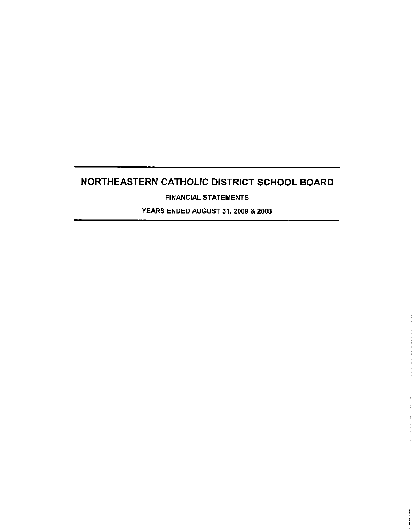$\sim$ 

FINANCIAL STATEMENTS

YEARS ENDED AUGUST 31, 2009 & 2008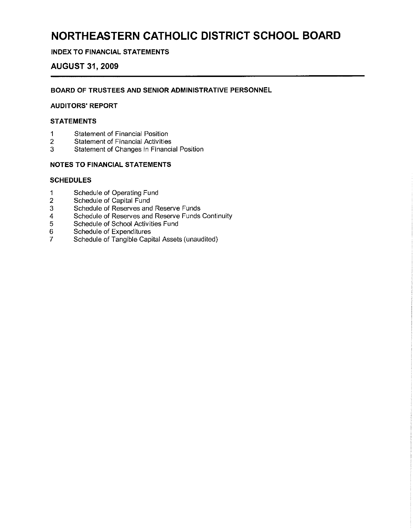#### **INDEX TO FINANCIAL STATEMENTS**

#### **AUGUST 31, 2009**

#### **BOARD OF TRUSTEES AND SENIOR ADMINISTRATIVE PERSONNEL**

#### **AUDITORS' REPORT**

#### **STATEMENTS**

- 
- 1 Statement of Financial Position<br>2 Statement of Financial Activities 2 Statement of Financial Activities<br>3 Statement of Changes in Financi
- 3 Statement of Changes in Financial Position

#### **NOTES TO FINANCIAL STATEMENTS**

#### **SCHEDULES**

- 1 Schedule of Operating Fund
- 2 Schedule of Capital Fund
- 3 Schedule of Reserves and Reserve Funds
- 4 Schedule of Reserves and Reserve Funds Continuity
- 5 Schedule of School Activities Fund
- 6 Schedule of Expenditures
- 7 Schedule of Tangible Capital Assets (unaudited)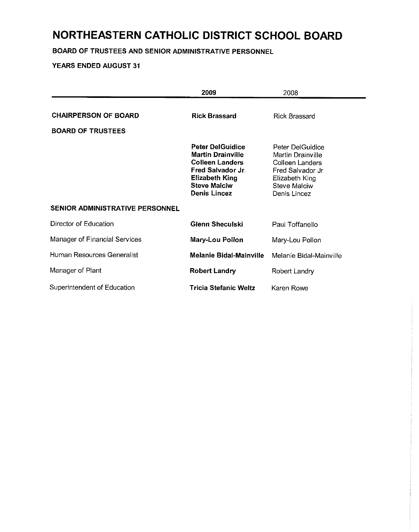**BOARD OF TRUSTEES AND SENIOR ADMINISTRATIVE PERSONNEL**

|                                                         | 2009                                                                                                                                                                      | 2008                                                                                                                                   |
|---------------------------------------------------------|---------------------------------------------------------------------------------------------------------------------------------------------------------------------------|----------------------------------------------------------------------------------------------------------------------------------------|
| <b>CHAIRPERSON OF BOARD</b><br><b>BOARD OF TRUSTEES</b> | <b>Rick Brassard</b>                                                                                                                                                      | <b>Rick Brassard</b>                                                                                                                   |
|                                                         | <b>Peter DelGuidice</b><br><b>Martin Drainville</b><br><b>Colleen Landers</b><br>Fred Salvador Jr.<br><b>Elizabeth King</b><br><b>Steve Malciw</b><br><b>Denis Lincez</b> | Peter DelGuidice<br>Martin Drainville<br>Colleen Landers<br>Fred Salvador Jr.<br>Elizabeth King<br><b>Steve Malciw</b><br>Denis Lincez |
| <b>SENIOR ADMINISTRATIVE PERSONNEL</b>                  |                                                                                                                                                                           |                                                                                                                                        |
| Director of Education                                   | Glenn Sheculski                                                                                                                                                           | Paul Toffanello                                                                                                                        |
| Manager of Financial Services                           | Mary-Lou Pollon                                                                                                                                                           | Mary-Lou Pollon                                                                                                                        |
| Human Resources Generalist                              | <b>Melanie Bidal-Mainville</b>                                                                                                                                            | Melanie Bidal-Mainville                                                                                                                |
| Manager of Plant                                        | <b>Robert Landry</b>                                                                                                                                                      | Robert Landry                                                                                                                          |
| Superintendent of Education                             | Tricia Stefanic Weltz                                                                                                                                                     | Karen Rowe                                                                                                                             |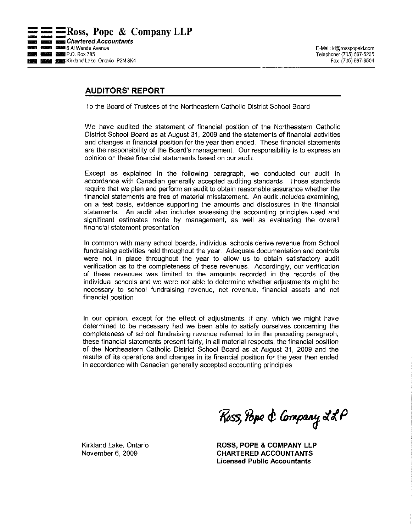### **AUDITORS' REPORT**

To the Board of Trustees of the Northeastern Catholic District School Board

We have audited the statement of financial position of the Northeastern Catholic District School Board as at August 31, 2009 and the statements of financial activities and changes in financial position for the year then ended These financial statements are the responsibility of the Board's management. Our responsibility is to express an opinion on these financial statements based on our audit

Except as explained in the following paragraph, we conducted our audit in accordance with Canadian generally accepted auditing standards Those standards require that we plan and pen'orm an audit to obtain reasonable assurance whether the financial statements are free of material misstatement. An audit includes examining, on a test basis, evidence supporting the amounts and disclosures in the financial statements. An audit also includes assessing the accounting principles used and significant estimates made by management, as well as evaluating the overall financial statement presentation

In common with many school boards, individual schools derive revenue from School fundraising activities held throughout the year. Adequate documentation and controls were not in place throughout the year to allow us to obtain satisfactory audit verification as to the completeness of these revenues Accordingly, our verification of these revenues was limited to the amounts recorded in the records of the individual schools and we were not able to determine whether adjustments might be necessary to school fundraising revenue, net revenue, financial assets and net financial position

In our opinion, except for the effect of adjustments, if any, which we might have determined to be necessary had we been able to satisfy ourselves concerning the completeness of school fundraising revenue referred to in the preceding paragraph, these financial statements present fairly, in all material respects, the financial position of the Northeastern Catholic District School Board as at August 31, 2009 and the results of its operations and changes in its financial position for the year then ended in accordance with Canadian generally accepted accounting principles

Ross, Pope & Company LLP

**ROSS, POPE & COMPANY LLP CHARTERED ACCOUNTANTS Licensed Public Accountants**

Kirkland Lake, Ontario November 6, 2009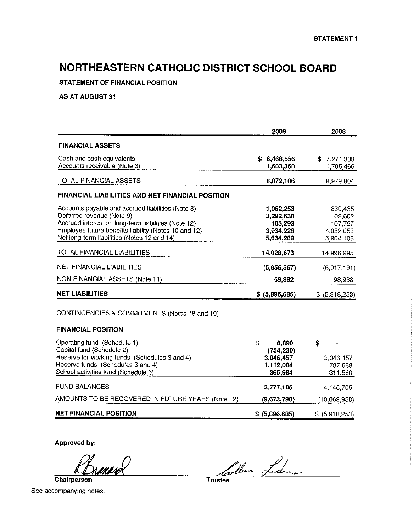**STATEMENT OF FINANCIAL** POSITION

**AS** AT AUGUST 31

|                                                                                                                                                                                                                                              | 2009                                                           | 2008                                                      |
|----------------------------------------------------------------------------------------------------------------------------------------------------------------------------------------------------------------------------------------------|----------------------------------------------------------------|-----------------------------------------------------------|
| <b>FINANCIAL ASSETS</b>                                                                                                                                                                                                                      |                                                                |                                                           |
| Cash and cash equivalents<br>Accounts receivable (Note 6)                                                                                                                                                                                    | \$6,468,556<br>1,603,550                                       | \$7,274,338<br>1,705,466                                  |
| TOTAL FINANCIAL ASSETS                                                                                                                                                                                                                       | 8,072,106                                                      | 8,979,804                                                 |
| FINANCIAL LIABILITIES AND NET FINANCIAL POSITION                                                                                                                                                                                             |                                                                |                                                           |
| Accounts payable and accrued liabilities (Note 8)<br>Deferred revenue (Note 9)<br>Accrued interest on long-term liabilities (Note 12)<br>Employee future benefits liability (Notes 10 and 12)<br>Net long-term liabilities (Notes 12 and 14) | 1,062,253<br>3,292,630<br>105,293<br>3,934,228<br>5,634,269    | 830,435<br>4,102,602<br>107,797<br>4,052,053<br>5,904,108 |
| TOTAL FINANCIAL LIABILITIES                                                                                                                                                                                                                  | 14,028,673                                                     | 14,996,995                                                |
| <b>NET FINANCIAL LIABILITIES</b>                                                                                                                                                                                                             | (5,956,567)                                                    | (6,017,191)                                               |
| NON-FINANCIAL ASSETS (Note 11)                                                                                                                                                                                                               | 59,882                                                         | 98,938                                                    |
| <b>NET LIABILITIES</b>                                                                                                                                                                                                                       | $$$ (5,896,685)                                                | $$$ (5,918,253)                                           |
| CONTINGENCIES & COMMITMENTS (Notes 18 and 19)                                                                                                                                                                                                |                                                                |                                                           |
| <b>FINANCIAL POSITION</b>                                                                                                                                                                                                                    |                                                                |                                                           |
| Operating fund (Schedule 1)<br>Capital fund (Schedule 2)<br>Reserve for working funds (Schedules 3 and 4)<br>Reserve funds (Schedules 3 and 4)<br>School activities fund (Schedule 5)                                                        | \$<br>6,890<br>(754, 230)<br>3,046,457<br>1,112,004<br>365,984 | \$<br>3,046,457<br>787,688<br>311,560                     |
| <b>FUND BALANCES</b>                                                                                                                                                                                                                         | 3,777,105                                                      | 4.145.705                                                 |
| AMOUNTS TO BE RECOVERED IN FUTURE YEARS (Note 12)                                                                                                                                                                                            | (9,673,790)                                                    | (10,063,958)                                              |
| <b>NET FINANCIAL POSITION</b>                                                                                                                                                                                                                | \$ (5,896,685)                                                 | \$ (5,918,253)                                            |

**Approved by:**

**Chairperson**

Trustee Lorden

See accompanying notes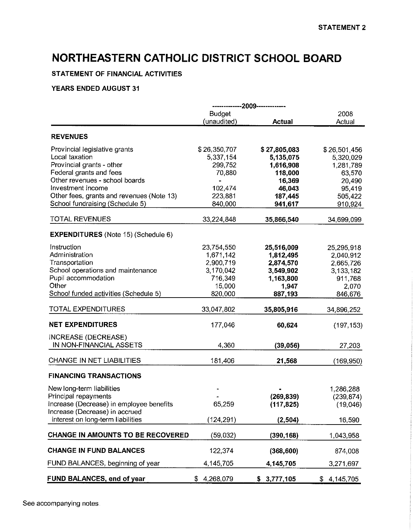#### STATEMENT OF FINANCIAL ACTIVITIES

|                                            |                 | -------------2009------------- |                 |
|--------------------------------------------|-----------------|--------------------------------|-----------------|
|                                            | <b>Budget</b>   |                                | 2008            |
|                                            | (unaudited)     | Actual                         | Actual          |
| <b>REVENUES</b>                            |                 |                                |                 |
| Provincial legislative grants              | \$26,350,707    | \$27,805,083                   | \$26,501,456    |
| Local taxation                             | 5,337,154       | 5,135,075                      | 5,320,029       |
| Provincial grants - other                  | 299,752         | 1,616,908                      | 1,281,789       |
| Federal grants and fees                    | 70,880          | 118,000                        | 63,570          |
| Other revenues - school boards             |                 | 16,369                         | 20,490          |
| Investment Income                          | 102,474         | 46,043                         | 95,419          |
| Other fees, grants and revenues (Note 13)  | 223,881         | 187,445                        | 505,422         |
| School fundraising (Schedule 5)            | 840,000         | 941,617                        | 910,924         |
| <b>TOTAL REVENUES</b>                      | 33,224,848      | 35,866,540                     | 34,699,099      |
|                                            |                 |                                |                 |
| <b>EXPENDITURES</b> (Note 15) (Schedule 6) |                 |                                |                 |
| Instruction                                | 23,754,550      | 25,516,009                     | 25,295,918      |
| Administration                             | 1,671,142       | 1,812,495                      | 2,040,912       |
| Transportation                             | 2,900,719       | 2,874,570                      | 2,665,726       |
| School operations and maintenance          | 3,170,042       | 3,549,902                      | 3,133,182       |
| Pupil accommodation                        | 716,349         | 1,163,800                      | 911,768         |
| Other                                      | 15,000          | 1.947                          | 2,070           |
| School funded activities (Schedule 5)      | 820,000         | 887,193                        | 846,676         |
| TOTAL EXPENDITURES                         | 33,047,802      | 35,805,916                     | 34,896,252      |
| <b>NET EXPENDITURES</b>                    | 177,046         | 60,624                         | (197, 153)      |
|                                            |                 |                                |                 |
| INCREASE (DECREASE)                        |                 |                                |                 |
| IN NON-FINANCIAL ASSETS                    | 4,360           | (39,056)                       | 27,203          |
| CHANGE IN NET LIABILITIES                  | 181,406         | 21,568                         | (169, 950)      |
| <b>FINANCING TRANSACTIONS</b>              |                 |                                |                 |
| New long-term liabilities                  |                 |                                | 1,286,288       |
| Principal repayments                       |                 | (269, 839)                     | (239, 874)      |
| Increase (Decrease) in employee benefits   | 65,259          | (117, 825)                     | (19,046)        |
| Increase (Decrease) in accrued             |                 |                                |                 |
| interest on long-term liabilities          | (124, 291)      | (2, 504)                       | 16,590          |
|                                            |                 |                                |                 |
| CHANGE IN AMOUNTS TO BE RECOVERED          | (59,032)        | (390, 168)                     | 1,043,958       |
| <b>CHANGE IN FUND BALANCES</b>             | 122,374         | (368, 600)                     | 874,008         |
| FUND BALANCES, beginning of year           | 4,145,705       | 4,145,705                      | 3,271,697       |
| FUND BALANCES, end of year                 | 4,268,079<br>\$ | \$3,777,105                    | 4,145,705<br>\$ |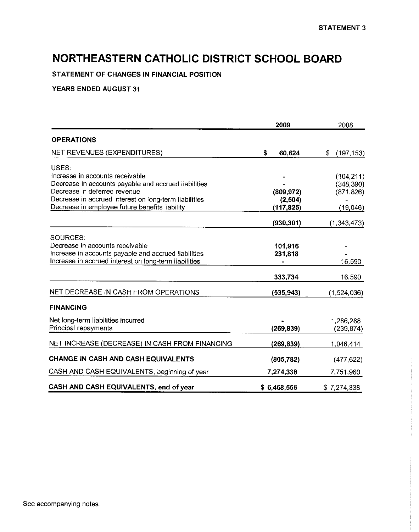**STATEMENT OF CHANGES IN FINANCIAL POSITION**

|                                                       | 2009         | 2008             |
|-------------------------------------------------------|--------------|------------------|
| <b>OPERATIONS</b>                                     |              |                  |
| NET REVENUES (EXPENDITURES)                           | \$<br>60,624 | \$<br>(197, 153) |
| USES:                                                 |              |                  |
| Increase in accounts receivable                       |              | (104, 211)       |
| Decrease in accounts payable and accrued liabilities  |              | (348, 390)       |
| Decrease in deferred revenue                          | (809, 972)   | (871, 826)       |
| Decrease in accrued interest on long-term liabilities | (2,504)      |                  |
| Decrease in employee future benefits liability        | (117, 825)   | (19,046)         |
|                                                       | (930, 301)   | (1, 343, 473)    |
| SOURCES.                                              |              |                  |
| Decrease in accounts receivable                       | 101,916      |                  |
| Increase in accounts payable and accrued liabilities  | 231,818      |                  |
| Increase in accrued interest on long-term liabilities |              | 16,590           |
|                                                       | 333,734      | 16,590           |
| NET DECREASE IN CASH FROM OPERATIONS                  | (535, 943)   | (1,524,036)      |
| <b>FINANCING</b>                                      |              |                  |
| Net long-term liabilities incurred                    |              | 1,286,288        |
| Principal repayments                                  | (269, 839)   | (239,874)        |
| NET INCREASE (DECREASE) IN CASH FROM FINANCING        | (269, 839)   | 1,046,414        |
| CHANGE IN CASH AND CASH EQUIVALENTS                   | (805, 782)   | (477, 622)       |
| CASH AND CASH EQUIVALENTS, beginning of year          | 7,274,338    | 7,751,960        |
| CASH AND CASH EQUIVALENTS, end of year                | \$6,468,556  | \$7,274,338      |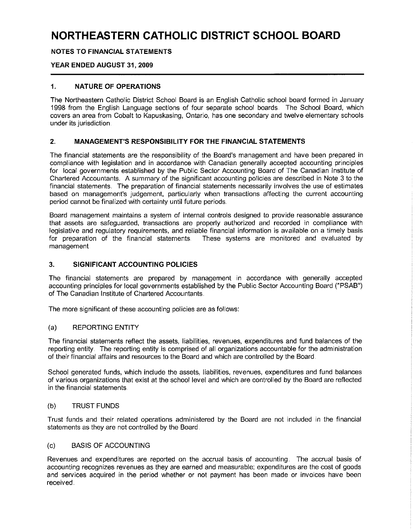#### **NOTES TO FINANCIAL STATEMENTS**

#### **YEAR ENDED AUGUST 31, 2009**

#### **1. NATURE OF OPERATIONS**

The Northeastern Catholic District School Board is an English Catholic school board formed in January 1998 from the English Language sections of four separate school boards The School Board, which covers an area from Cobalt to Kapuskasing, Ontario, has one secondary and twelve elementary schools under its jurisdiction

#### **2.. MANAGEMENT'S RESPONSIBILITY FOR THE FINANCIAL STATEMENTS**

The financial statements are the responsibility of the Board's management and have been prepared in compliance with legislation and in accordance with Canadian generally accepted accounting principles for local governments established by the Public Sector Accounting Board of The Canadian Institute of Chartered Accountants. A summary of the significant accounting policies are described in Note 3 to the financial statements. The preparation of financial statements necessarily involves the use of estimates based on management's judgement, particularly when transactions affecting the current accounting period cannot be finalized with certainty until future periods

Board management maintains a system of internal controls designed to provide reasonable assurance that assets are safeguarded, transactions are properly authorized and recorded in compliance with legislative and regulatory requirements, and reliable financial information is available on a timely basis for preparation of the financial statements These systems are monitored and evaluated by management

#### **3. SIGNIFICANT ACCOUNTING POLICIES**

The financial statements are prepared by management in accordance with generally accepted accounting principles for local governments established by the Public Sector Accounting Board ("PSAB") of The Canadian Institute of Chartered Accountants

The more significant of these accounting policies are as follows:

#### (a) REPORTING ENTITY

The financial statements reflect the assets, liabilities, revenues, expenditures and fund balances of the reporting entity. The reporting entity is comprised of all organizations accountable for the administration of their financial affairs and resources to the Board and which are controlled by the Board

School generated funds, which include the assets, liabilities, revenues, expenditures and fund balances of various organizations that exist at the school level and which are controlled by the Board are reflected in the financial statements

#### (b) TRUST FUNDS

Trust funds and their related operations administered by the Board are not included in the financial statements as they are not controlled by the Board

#### (c) BASIS OF ACCOUNTING

Revenues and expenditures are reported on the accrual basis of accounting. The accrual basis of accounting recognizes revenues as they are earned and measurable; expenditures are the cost of goods and services acquired in the period whether or not payment has been made or invoices have been received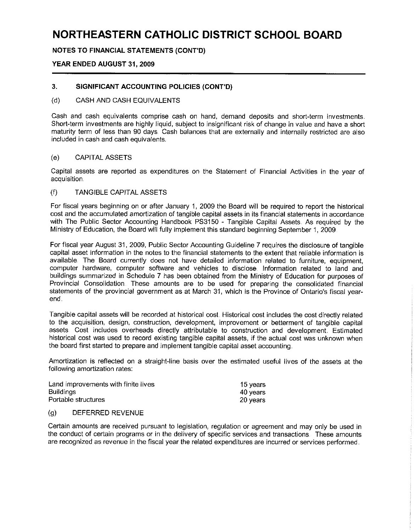**NOTES TO FINANCIAL STATEMENTS (CONT'D)**

#### **YEAR ENDED AUGUST 31, 2009**

#### **3. SIGNIFICANT ACCOUNTING POLICIES (CONT'D)**

#### (d) CASH AND CASH EQUIVALENTS

Cash and cash equivalents comprise cash on hand, demand deposits and short-term investments Short-term investments are highly liquid, subject to insignificant risk of change in value and have a short maturity term of less than 90 days Cash balances that are externally and internally restricted are also included in cash and cash equivalents

#### (e) CAPITAL ASSETS

Capital assets are reported as expenditures on the Statement of Financial Activities in the year of acquisition

#### (f) TANGIBLE CAPITAL ASSETS

For fiscal years beginning on or after January 1, 2009 the Board will be required to report the historical cost and the accumulated amortization of tangible capital assets in its financial statements in accordance with The Public Sector Accounting Handbook PS3150 - Tangible Capital Assets. As required by the Ministry of Education, the Board will fully implement this standard beginning September 1, 2009

For fiscal year August 31, 2009, Public Sector Accounting Guideline 7 requires the disclosure of tangible capital asset information in the notes to the financial statements to the extent that reliable information is available The Board currently does not have detailed information related to furniture, equipment, computer hardware, computer software and vehicles to disclose Information related to land and buildings summarized in Schedule 7 has been obtained from the Ministry of Education for purposes of Provincial Consolidation These amounts are to be used for preparing the consolidated financial statements of the provincial government as at March 31, which is the Province of Ontario's fiscal yearend

Tangible capital assets will be recorded at historical cost Historical cost includes the cost directly related to the acquisition, design, construction, development, improvement or betterment of tangible capital assets Cost includes overheads directly attributable to construction and development Estimated historical cost was used to record existing tangible capital assets, if the actual cost was unknown when the board first started to prepare and implement tangible capital asset accounting

Amortization is reflected on a straight-line basis over the estimated useful lives of the assets at the following amortization rates:

| Land improvements with finite lives | 15 vears |
|-------------------------------------|----------|
| <b>Buildings</b>                    | 40 years |
| Portable structures                 | 20 vears |

#### (g) DEFERRED REVENUE

Certain amounts are received pursuant to legislation, regulation or agreement and may only be used in the conduct of certain programs or in the delivery of specific services and transactions. These amounts are recognized as revenue in the fiscal year the related expenditures are incurred or services performed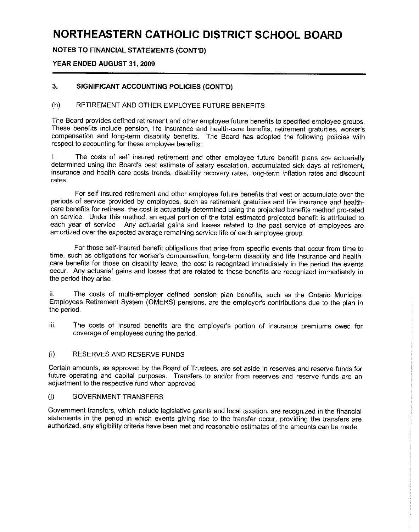**NOTES TO FINANCIAL STATEMENTS (CONT'D)**

#### **YEAR ENDED AUGUST 31, 2009**

#### **3,, SIGNIFICANT ACCOUNTING POLICIES (CONT'D)**

#### (h) RETIREMENT AND OTHER EMPLOYEE FUTURE BENEFITS

The Board provides defined retirement and other employee future benefits to specified employee groups These benefits include pension, life insurance and health-care benefits, retirement gratuities, worker's compensation and long-term disability benefits The Board has adopted the following policies with respect to accounting for these employee benefits:

i. The costs of self insured retirement and other employee future benefit plans are actuarially determined using the Board's best estimate of salary escalation, accumulated sick days at retirement, insurance and health care costs trends, disability recovery rates, long-term inflation rates and discount rates

For self insured retirement and other employee future benefits that vest or accumulate over the periods of service provided by employees, such as retirement gratuities and life insurance and healthcare benefits for retirees, the cost is actuarially determined using the projected benefits method pro-rated on service Under this method, an equal portion of the total estimated projected benefit is attributed to each year of service Any actuarial gains and losses related to the past service of employees are amortized over the expected average remaining service life of each employee group

For those self-insured benefit obligations that arise from specific events that occur from time to time, such as obligations for worker's compensation, long-term disability and life insurance and healthcare benefits for those on disability leave, the cost is recognized immediately in the period the events occur Any actuarial gains and losses that are related to these benefits are recognized immediately in the period they arise

ii The costs of multi-employer defined pension plan benefits, such as the Ontario Municipal Employees Retirement System (OMERS) pensions, are the employer's contributions due to the plan in the period

ijj. The costs of insured benefits are the employer's portion of insurance premiums owed for coverage of employees during the period

#### (i) RESERVES AND RESERVE FUNDS

Certain amounts, as approved by the Board of Trustees, are set aside in reserves and reserve funds for future operating and capital purposes Transfers to and/or from reserves and reserve funds are an adjustment to the respective fund when approved

#### (j) GOVERNMENT TRANSFERS

Government transfers, which include legislative grants and local taxation, are recognized in the financial statements in the period in which events giving rise to the transfer occur, providing the transfers are authorized, any eligibility criteria have been met and reasonable estimates of the amounts can be made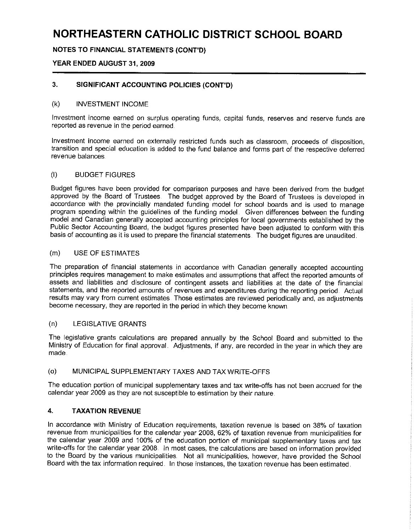#### **NOTES TO FINANCIAL STATEMENTS (CONT'D)**

#### **YEAR ENDED AUGUST 31, 2009**

#### **3.. SIGNIFICANT ACCOUNTING POLICIES (CONT'D)**

#### (k) INVESTMENT INCOME

Investment income earned on surplus operating funds, capital funds, reserves and reserve funds are reported as revenue in the period earned

Investment income earned on externally restricted funds such as classroom, proceeds of disposition, transition and special education is added to the fund balance and forms part of the respective deferred revenue balances

#### (I) BUDGET FIGURES

Budget figures have been provided for comparison purposes and have been derived from the budget approved by the Board of Trustees The budget approved by the Board of Trustees is developed in accordance with the provincially mandated funding model for school boards and is used to manage program spending within the guidelines of the funding model. Given differences between the funding model and Canadian generally accepted accounting principles for local governments established by the Public Sector Accounting Board, the budget figures presented have been adjusted to conform with this basis of accounting as it is used to prepare the financial statements The budget figures are unaudited

#### (m) USE OF ESTIMATES

The preparation of financial statements in accordance with Canadian generally accepted accounting principles requires management to make estimates and assumptions that affect the reported amounts of assets and liabilities and disclosure of contingent assets and liabilities at the date of the financial statements, and the reported amounts of revenues and expenditures during the reporting period. Actual results may vary from current estimates Those estimates are reviewed periodically and, as adjustments become necessary, they are reported in the period in which they become known

#### (n) LEGISLATIVE GRANTS

The legislative grants calculations are prepared annually by the School Board and submitted to the Ministry of Education for final approval. Adjustments, if any, are recorded in the year in which they are made

#### (o) MUNICIPAL SUPPLEMENTARY TAXES AND TAX WRITE-OFFS

The education portion of municipal supplementary taxes and tax write-offs has not been accrued for the calendar year 2009 as they are not susceptible to estimation by their nature

#### **4. TAXATION REVENUE**

In accordance with Ministry of Education requirements, taxation revenue is based on 38% of taxation revenue from municipalities for the calendar year 2008, 62% of taxation revenue from municipalities for the calendar year 2009 and 100% of the education portion of municipal supplementary taxes and tax write-offs for the calendar year 2008. In most cases, the calculations are based on information provided to the Board by the various municipalities Not all municipalities, however, have provided the School Board with the tax information required. In those instances, the taxation revenue has been estimated.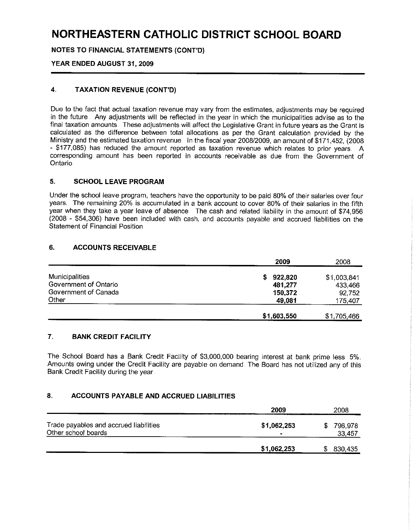**NOTES TO FINANCIAL STATEMENTS (CONT'D)**

#### **YEAR ENDED AUGUST 31, 2009**

#### **4.r TAXATION REVENUE (CONT'D)**

Due to the fact that actual taxation revenue may vary from the estimates, adjustments may be required in the future. Any adjustments will be reflected in the year in which the municipalities advise as to the final taxation amounts. These adjustments will affect the Legislative Grant in future years as the Grant is calculated as the difference between total allocations as per the Grant calculation provided by the Ministry and the estimated taxation revenue. In the fiscal year 2008/2009, an amount of \$171,452, (2008) - \$177,086) has reduced the amount reported as taxation revenue which relates to prior years A corresponding amount has been reported in accounts receivable as due from the Government of Ontario

#### **5. SCHOOL LEAVE PROGRAM**

Under the school leave program, teachers have the opportunity to be paid 80% of their salaries over four years The remaining 20% is accumulated in a bank account to cover 80% of their salaries in the fifth year when they take a year leave of absence The cash and related liability in the amount of \$74,956 (2008 - \$54,306) have been included with cash, and accounts payable and accrued liabilities on the Statement of Financial Position

#### **6. ACCOUNTS RECEIVABLE**

|                       | 2009        | 2008        |
|-----------------------|-------------|-------------|
| <b>Municipalities</b> | 922,820     | \$1,003,841 |
| Government of Ontario | 481,277     | 433,466     |
| Government of Canada  | 150,372     | 92,752      |
| Other                 | 49,081      | 175,407     |
|                       | \$1,603,550 | \$1,705,466 |

#### **7. BANK CREDIT FACILITY**

The School Board has a Bank Credit Facility of \$3,000,000 bearing interest at bank prime less 5% Amounts owing under the Credit Facility are payable on demand The Board has not utilized any of this Bank Credit Facility during the year

#### **8. ACCOUNTS PAYABLE AND ACCRUED LIABILITIES**

|                                                               | 2009        |   | 2008              |
|---------------------------------------------------------------|-------------|---|-------------------|
| Trade payables and accrued liabilities<br>Other school boards | \$1,062,253 | S | 796,978<br>33.457 |
|                                                               | \$1,062,253 |   | 830,435           |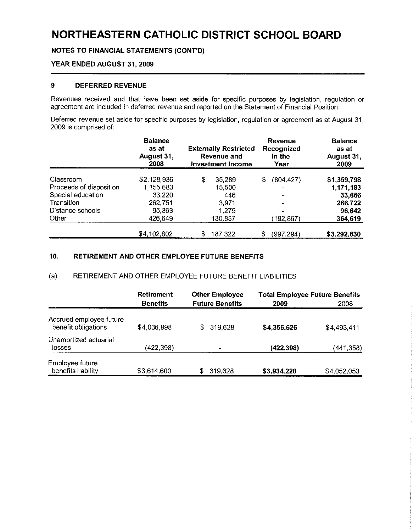**NOTES TO FINANCIAL STATEMENTS** (CONT'D)

#### **YEAR ENDED AUGUST 31, 2009**

#### **9.. DEFERRED REVENUE**

Revenues received and that have been set aside for specific purposes by legislation, regulation or agreement are included in deferred revenue and reported on the Statement of Financial Position

Deferred revenue set aside for specific purposes by legislation, regulation or agreement as at August 31, 2009 is comprised of:

|                         | <b>Balance</b><br>as at<br>August 31,<br>2008 | <b>Externally Restricted</b><br>Revenue and<br>Investment Income | Revenue<br>Recognized<br>in the<br>Year | <b>Balance</b><br>as at<br>August 31,<br>2009 |
|-------------------------|-----------------------------------------------|------------------------------------------------------------------|-----------------------------------------|-----------------------------------------------|
| Classroom               | \$2,128,936                                   | \$<br>35,289                                                     | (804, 427)<br>S                         | \$1,359,798                                   |
| Proceeds of disposition | 1,155,683                                     | 15,500                                                           | -                                       | 1,171,183                                     |
| Special education       | 33,220                                        | 446                                                              |                                         | 33,666                                        |
| Transition              | 262,751                                       | 3,971                                                            |                                         | 266,722                                       |
| Distance schools        | 95,363                                        | 1.279                                                            |                                         | 96,642                                        |
| Other                   | 426,649                                       | 130.837                                                          | (192,867)                               | 364,619                                       |
|                         | \$4,102,602                                   | \$<br>187,322                                                    | (997,294)                               | \$3,292,630                                   |

#### **10. RETIREMENT AND OTHER EMPLOYEE FUTURE BENEFITS**

#### (a) RETIREMENT AND OTHER EMPLOYEE FUTURE BENEFIT LIABILITIES

|                                                | <b>Retirement</b><br><b>Benefits</b> | <b>Other Employee</b><br><b>Future Benefits</b> | <b>Total Employee Future Benefits</b><br>2009 | 2008        |
|------------------------------------------------|--------------------------------------|-------------------------------------------------|-----------------------------------------------|-------------|
| Accrued employee future<br>benefit obligations | \$4,036,998                          | 319,628<br>\$.                                  | \$4,356,626                                   | \$4,493,411 |
| Unamortized actuarial<br>losses                | (422, 398)                           |                                                 | (422, 398)                                    | (441,358)   |
| Employee future<br>benefits liability          | \$3,614,600                          | \$<br>319.628                                   | \$3,934,228                                   | \$4,052,053 |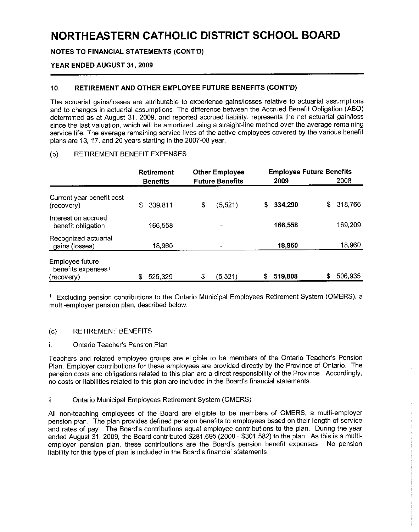**NOTES TO FINANCIAL STATEMENTS (CONT'D)**

#### **YEAR ENDED AUGUST 31, 2009**

#### **10,, RETIREMENT AND OTHER EMPLOYEE FUTURE BENEFITS (CONT'D)**

The actuarial gains/losses are attributable to experience gains/losses relative to actuarial assumptions and to changes in actuarial assumptions. The difference between the Accrued Benefit Obligation (ABO) determined as at August 31, 2009, and reported accrued liability, represents the net actuarial gain/loss since the last valuation, which will be amortized using a straight-line method over the average remaining service life The average remaining service lives of the active employees covered by the various benefit plans are 13, 17, and 20 years starting in the 2007-08 year

#### (b) RETIREMENT BENEFIT EXPENSES

|                                                                 | <b>Retirement</b><br><b>Benefits</b> | <b>Other Employee</b><br><b>Future Benefits</b> |   | <b>Employee Future Benefits</b><br>2009 |    | 2008    |
|-----------------------------------------------------------------|--------------------------------------|-------------------------------------------------|---|-----------------------------------------|----|---------|
| Current year benefit cost<br>(recovery)                         | \$<br>339,811                        | \$<br>(5, 521)                                  | S | 334.290                                 | \$ | 318,766 |
| Interest on accrued<br>benefit obligation                       | 166,558                              |                                                 |   | 166,558                                 |    | 169,209 |
| Recognized actuarial<br>gains (losses)                          | 18,960                               |                                                 |   | 18,960                                  |    | 18,960  |
| Employee future<br>benefits expenses <sup>1</sup><br>(recovery) | 525,329                              | \$<br>(5, 521)                                  | S | 519,808                                 | S  | 506,935 |

1 Excluding pension contributions to the Ontario Municipal Employees Retirement System (OMERS), a multi-employer pension plan, described below

#### (c) RETIREMENT BENEFITS

#### i Ontario Teacher's Pension Plan

Teachers and related employee groups are eligible to be members of the Ontario Teacher's Pension Plan Employer contributions for these employees are provided directly by the Province of Ontario. The pension costs and obligations related to this plan are a direct responsibility of the Province Accordingly, no costs or liabilities related to this plan are included in the Board's financial statements

#### ii Ontario Municipal Employees Retirement System (OMERS)

All non-teaching employees of the Board are eligible to be members of OMERS, a multi-employer pension plan. The plan provides defined pension benefits to employees based on their length of service and rates of pay The Board's contributions equal employee contributions to the plan. During the year ended August 31, 2009, the Board contributed \$281,695 (2008 - \$301,582) to the plan. As this is a multiemployer pension plan, these contributions are the Board's pension benefit expenses. No pension liability for this type of plan is included in the Board's financial statements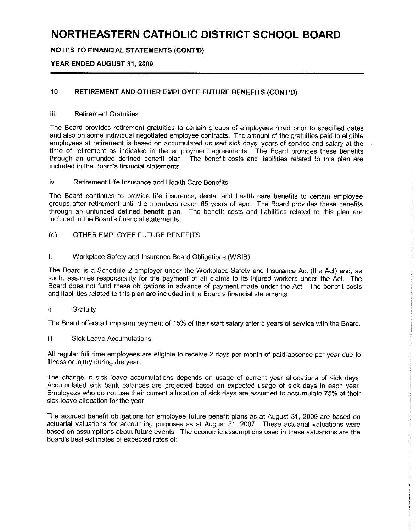**NOTES TO FINANCIAL STATEMENTS (CONT'D)**

#### **YEAR ENDED AUGUST 31, 2009**

#### **10,, RETIREMENT AND OTHER EMPLOYEE FUTURE BENEFITS (CONT'D)**

#### iii Retirement Gratuities

The Board provides retirement gratuities to certain groups of employees hired prior to specified dates and also on some individual negotiated employee contracts The amount of the gratuities paid to eligible employees at retirement is based on accumulated unused sick days, years of service and salary at the time of retirement as indicated in the employment agreements The Board provides these benefits through an unfunded defined benefit plan The benefit costs and liabilities related to this plan are included in the Board's financial statements

#### iv Retirement Life Insurance and Health Care Benefits

The Board continues to provide life insurance, dental and health care benefits to certain employee groups after retirement until the members reach 65 years of age The Board provides these benefits through an unfunded defined benefit plan The benefit costs and liabilities related to this plan are included in the Board's financial statements

(d) OTHER EMPLOYEE FUTURE BENEFITS

#### i. Workplace Safety and Insurance Board Obligations (WSIB)

The Board is a Schedule 2 employer under the Workplace Safety and Insurance Act (the Act) and, as such, assumes responsibility for the payment of all claims to its injured workers under the Act The Board does not fund these obligations in advance of payment made under the Act The benefit costs and liabilities related to this plan are included in the Board's financial statements

#### ii Gratuity

The Board offers a lump sum payment of 15% of their start salary after 5 years of service with the Board

#### iii Sick Leave Accumulations

All regular full time employees are eligible to receive 2 days per month of paid absence per year due to illness or injury during the year

The change in sick leave accumulations depends on usage of current year allocations of sick days Accumulated sick bank balances are projected based on expected usage of sick days in each year Employees who do not use their current allocation of sick days are assumed to accumulate 75% of their sick leave allocation for the year

The accrued benefit obligations for employee future benefit plans as at August 31, 2009 are based on actuarial valuations for accounting purposes as at August 31, 2007 These actuarial valuations were based on assumptions about future events. The economic assumptions used in these valuations are the Board's best estimates of expected rates of: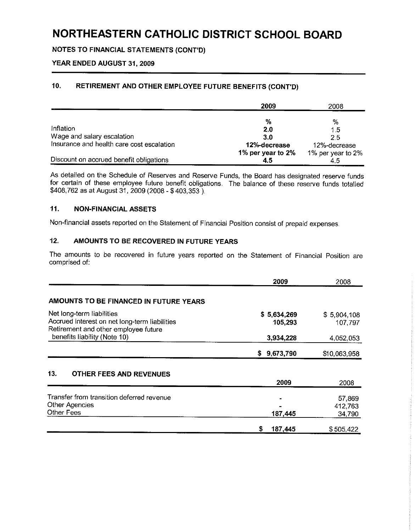**NOTES TO FINANCIAL STATEMENTS** (CONT'D)

#### **YEAR ENDED AUGUST 31, 2009**

#### **10.. RETIREMENT AND OTHER EMPLOYEE FUTURE BENEFITS (CONT'D)**

|                                           | 2009              | 2008              |
|-------------------------------------------|-------------------|-------------------|
|                                           |                   |                   |
|                                           | %                 | %                 |
| Inflation                                 | 20                | 1.5               |
| Wage and salary escalation                | 3.0               | 2.5               |
| Insurance and health care cost escalation | 12%-decrease      | 12%-decrease      |
|                                           | 1% per year to 2% | 1% per year to 2% |
| Discount on accrued benefit obligations   | 4.5               |                   |

As detailed on the Schedule of Reserves and Reserve Funds, the Board has designated reserve funds for certain of these employee future benefit obligations The balance of these reserve funds totalled \$408,762 as at August 31, 2009 (2008 - \$ 403,353 )

#### **11 .. NON-FINANCIAL ASSETS**

Non-financial assets reported on the Statement of Financial Position consist of prepaid expenses

#### **12. AMOUNTS TO BE RECOVERED IN FUTURE YEARS**

The amounts to be recovered in future years reported on the Statement of Financial Position are comprised of:

|                                                                                                                    | 2009                   | 2008                        |
|--------------------------------------------------------------------------------------------------------------------|------------------------|-----------------------------|
| AMOUNTS TO BE FINANCED IN FUTURE YEARS                                                                             |                        |                             |
| Net long-term liabilities<br>Accrued interest on net long-term liabilities<br>Retirement and other employee future | \$5,634,269<br>105.293 | \$5,904,108<br>107,797      |
| benefits liability (Note 10)                                                                                       | 3,934,228              | 4.052,053                   |
|                                                                                                                    | 9,673,790<br>S.        | \$10,063,958                |
| 13.<br>OTHER FEES AND REVENUES                                                                                     | 2009                   | 2008                        |
| Transfer from transition deferred revenue<br>Other Agencies<br>Other Fees                                          | 187,445                | 57,869<br>412,763<br>34,790 |
|                                                                                                                    | 187,445<br>s           | \$505,422                   |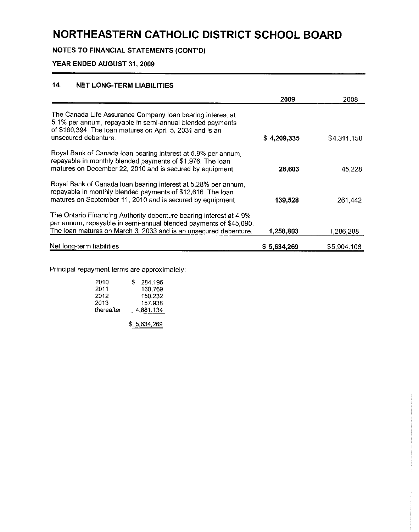**NOTES** TO FINANCIAL STATEMENTS (CONT'D)

#### **YEAR ENDED AUGUST 31, 2009**

#### **14,, NET LONG-TERM LIABILITIES**

|                                                                                                                                                                                                              | 2009        | 2008        |
|--------------------------------------------------------------------------------------------------------------------------------------------------------------------------------------------------------------|-------------|-------------|
| The Canada Life Assurance Company loan bearing interest at<br>5.1% per annum, repayable in semi-annual blended payments<br>of \$160,394. The loan matures on April 5, 2031 and is an<br>unsecured debenture. | \$4,209,335 | \$4,311,150 |
| Royal Bank of Canada loan bearing interest at 5.9% per annum,<br>repayable in monthly blended payments of \$1,976. The loan<br>matures on December 22, 2010 and is secured by equipment                      | 26,603      | 45,228      |
| Royal Bank of Canada Ioan bearing interest at 5.28% per annum,<br>repayable in monthly blended payments of \$12,616 The loan<br>matures on September 11, 2010 and is secured by equipment.                   | 139,528     | 261,442     |
| The Ontario Financing Authority debenture bearing interest at 4.9%<br>per annum, repayable in semi-annual blended payments of \$45,090.<br>The loan matures on March 3, 2033 and is an unsecured debenture.  | 1,258,803   | l 286.288   |
| Net long-term liabilities                                                                                                                                                                                    | \$5,634,269 | \$5,904,108 |

Principal repayment terms are approximately:

| 2010       | S | 284 196   |
|------------|---|-----------|
| 2011       |   | 160.769   |
| 2012       |   | 150.232   |
| 2013       |   | 157.938   |
| thereafter |   | 4.881.134 |
|            |   |           |

\$ 5 634 269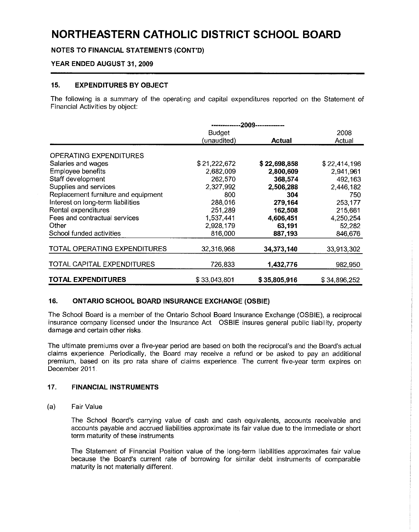**NOTES TO FINANCIAL STATEMENTS (CONT'D)**

#### **YEAR ENDED AUGUST 31, 2009**

#### **15. EXPENDITURES BY OBJECT**

The following is a summary of the operating and capital expenditures reported on the Statement of Financial Activities by object:

|                                     |               | -2009------------- |              |
|-------------------------------------|---------------|--------------------|--------------|
|                                     | <b>Budget</b> |                    | 2008         |
|                                     | (unaudited)   | Actual             | Actual       |
| <b>OPERATING EXPENDITURES</b>       |               |                    |              |
| Salaries and wages                  | \$21,222,672  | \$22,698,858       | \$22,414,196 |
| Employee benefits                   | 2,682,009     | 2,800,609          | 2,941,961    |
| Staff development                   | 262,570       | 368,574            | 492,163      |
| Supplies and services               | 2,327,992     | 2,506,288          | 2,446,182    |
| Replacement furniture and equipment | 800           | 304                | 750          |
| Interest on long-term liabilities   | 288,016       | 279,164            | 253,177      |
| Rental expenditures                 | 251,289       | 162,508            | 215,661      |
| Fees and contractual services       | 1,537,441     | 4,606,451          | 4,250,254    |
| Other                               | 2,928,179     | 63.191             | 52,282       |
| School funded activities            | 816,000       | 887.193            | 846,676      |
| TOTAL OPERATING EXPENDITURES        | 32,316,968    | 34,373,140         | 33,913,302   |
| TOTAL CAPITAL EXPENDITURES          | 726,833       | 1,432,776          | 982,950      |
| <b>TOTAL EXPENDITURES</b>           | \$33,043,801  | \$35,805,916       | \$34,896,252 |

#### **16. ONTARIO SCHOOL BOARD INSURANCE EXCHANGE (OSBIE)**

The School Board is a member of the Ontario School Board Insurance Exchange (OSBIE), a reciprocal insurance company licensed under the Insurance Act OSBIE insures general public liability, property damage and certain other risks

The ultimate premiums over a five-year period are based on both the reciprocal's and the Board's actual claims experience Periodically, the Board may receive a refund or be asked to pay an additional premium, based on its pro rata share of claims experience The current five-year term expires on December 2011

#### **17.. FINANCIAL INSTRUMENTS**

(a) Fair Value

The School Board's carrying value of cash and cash equivalents, accounts receivable and accounts payable and accrued liabilities approximate its fair value due to the immediate or short term maturity of these instruments

The Statement of Financial Position value of the long-term liabilities approximates fair value because the Board's current rate of borrowing for similar debt instruments of comparable maturity is not materially different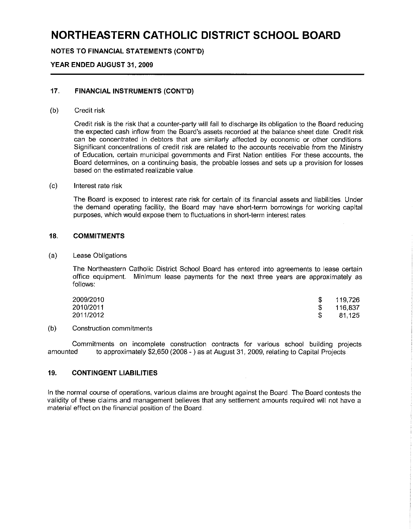**NOTES TO FINANCIAL STATEMENTS (CONT'D)**

#### **YEAR ENDED AUGUST 31, 2009**

#### 17,, **FINANCIAL INSTRUMENTS (CONT'D)**

#### (b) Credit risk

Credit risk is the risk that a counter-party will fail to discharge its obligation to the Board reducing the expected cash inflow from the Board's assets recorded at the balance sheet date Credit risk can be concentrated in debtors that are similarly affected by economic or other conditions Significant concentrations of credit risk are related to the accounts receivable from the Ministry of Education, certain municipal governments and First Nation entities For these accounts, the Board determines, on a continuing basis, the probable losses and sets up a provision for losses based on the estimated realizable value

#### (c) Interest rate risk

The Board is exposed to interest rate risk for certain of its financial assets and liabilities Under the demand operating facility, the Board may have short-term borrowings for working capital purposes, which would expose them to fluctuations in short-term interest rates

#### **18,, COMMITMENTS**

(a) Lease Obligations

The Northeastern Catholic District School Board has entered into agreements to lease certain office equipment. Minimum lease payments for the next three years are approximately as follows:

| 2009/2010 | 119,726 |
|-----------|---------|
| 2010/2011 | 116,837 |
| 2011/2012 | 81.125  |

#### (b) Construction commitments

Commitments on incomplete construction contracts for various school building projects amounted to approximately \$2,650 (2008 - ) as at August 31, 2009, relating to Capital Projects

#### **19. CONTINGENT LIABILITIES**

In the normal course of operations, various claims are brought against the Board The Board contests the validity of these claims and management believes that any settlement amounts required will not have a material effect on the financial position of the Board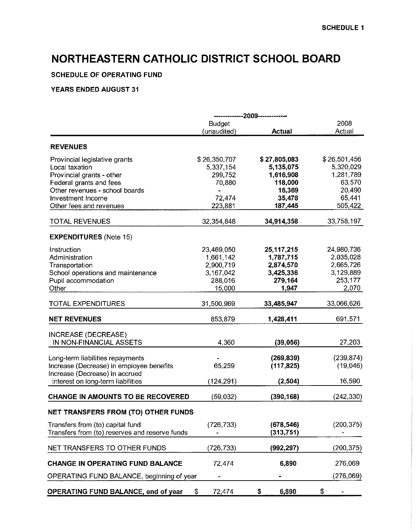### **SCHEDULE OF OPERATING FUND**

|                                                                            | ------------2009------------- |                           |                           |  |  |  |
|----------------------------------------------------------------------------|-------------------------------|---------------------------|---------------------------|--|--|--|
|                                                                            | <b>Budget</b>                 | <b>Actual</b>             | 2008<br>Actual            |  |  |  |
|                                                                            | (unaudited)                   |                           |                           |  |  |  |
| <b>REVENUES</b>                                                            |                               |                           |                           |  |  |  |
| Provincial legislative grants<br>Local taxation                            | \$26,350,707<br>5,337,154     | \$27,805,083<br>5,135,075 | \$26,501,456<br>5,320,029 |  |  |  |
| Provincial grants - other                                                  | 299,752                       | 1,616,908                 | 1,281,789                 |  |  |  |
| Federal grants and fees                                                    | 70,880                        | 118,000                   | 63,570                    |  |  |  |
| Other revenues - school boards<br>Investment Income                        | 72,474                        | 16,369<br>35,478          | 20,490<br>65,441          |  |  |  |
| Other fees and revenues                                                    | 223,881                       | 187,445                   | 505,422                   |  |  |  |
|                                                                            |                               |                           |                           |  |  |  |
| <b>TOTAL REVENUES</b>                                                      | 32,354,848                    | 34,914,358                | 33,758,197                |  |  |  |
| <b>EXPENDITURES (Note 15)</b>                                              |                               |                           |                           |  |  |  |
| Instruction                                                                | 23,469,050                    | 25, 117, 215              | 24,980,736                |  |  |  |
| Administration                                                             | 1,661,142                     | 1,787,715                 | 2,035,028                 |  |  |  |
| Transportation                                                             | 2,900,719                     | 2,874,570                 | 2,665,726                 |  |  |  |
| School operations and maintenance                                          | 3,167,042                     | 3,425,336                 | 3,129,889                 |  |  |  |
| Pupil accommodation                                                        | 288,016                       | 279,164                   | 253,177                   |  |  |  |
| Other                                                                      | 15,000                        | 1,947                     | 2,070                     |  |  |  |
| <b>TOTAL EXPENDITURES</b>                                                  | 31,500,969                    | 33,485,947                | 33,066,626                |  |  |  |
| <b>NET REVENUES</b>                                                        | 853,879                       | 1,428,411                 | 691,571                   |  |  |  |
| INCREASE (DECREASE)                                                        |                               |                           |                           |  |  |  |
| IN NON-FINANCIAL ASSETS                                                    | 4,360                         | (39, 056)                 | 27,203                    |  |  |  |
|                                                                            |                               |                           |                           |  |  |  |
| Long-term liabilities repayments                                           |                               | (269, 839)                | (239, 874)                |  |  |  |
| Increase (Decrease) in employee benefits<br>Increase (Decrease) in accrued | 65,259                        | (117, 825)                | (19,046)                  |  |  |  |
| interest on long-term liabilities                                          | (124, 291)                    | (2, 504)                  | 16,590                    |  |  |  |
| <b>CHANGE IN AMOUNTS TO BE RECOVERED</b>                                   | (59,032)                      | (390, 168)                | (242, 330)                |  |  |  |
| <b>NET TRANSFERS FROM (TO) OTHER FUNDS</b>                                 |                               |                           |                           |  |  |  |
| Transfers from (to) capital fund                                           | (726, 733)                    | (678, 546)                | (200, 375)                |  |  |  |
| Transfers from (to) reserves and reserve funds                             |                               | (313, 751)                |                           |  |  |  |
| NET TRANSFERS TO OTHER FUNDS                                               | (726, 733)                    | (992, 297)                | (200, 375)                |  |  |  |
| <b>CHANGE IN OPERATING FUND BALANCE</b>                                    | 72,474                        | 6,890                     | 276,069                   |  |  |  |
| OPERATING FUND BALANCE, beginning of year                                  |                               |                           | (276,069)                 |  |  |  |
|                                                                            |                               |                           |                           |  |  |  |
| <b>OPERATING FUND BALANCE, end of year</b>                                 | \$<br>72,474                  | 6,890<br>\$               | \$                        |  |  |  |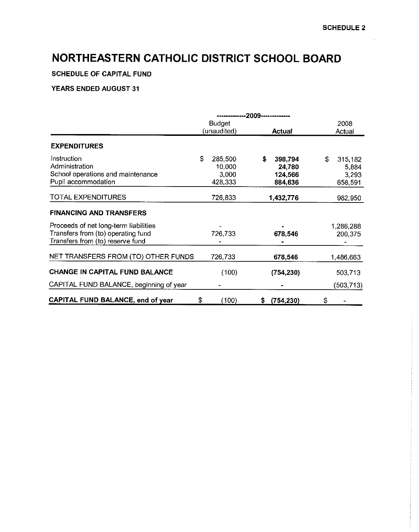**SCHEDULE OF CAPITAL FUND**

|                                         |               | --2009-------------- |               |               |
|-----------------------------------------|---------------|----------------------|---------------|---------------|
|                                         | <b>Budget</b> |                      |               | 2008          |
|                                         | (unaudited)   |                      | <b>Actual</b> | Actual        |
| <b>EXPENDITURES</b>                     |               |                      |               |               |
| Instruction                             | \$<br>285,500 | \$                   | 398,794       | \$<br>315,182 |
| Administration                          | 10,000        |                      | 24,780        | 5,884         |
| School operations and maintenance       | 3,000         |                      | 124,566       | 3,293         |
| Pupil accommodation                     | 428,333       |                      | 884,636       | 658,591       |
| TOTAL EXPENDITURES                      | 726,833       |                      | 1.432,776     | 982,950       |
| <b>FINANCING AND TRANSFERS</b>          |               |                      |               |               |
| Proceeds of net long-term liabilities   |               |                      |               | 1,286,288     |
| Transfers from (to) operating fund      | 726,733       |                      | 678,546       | 200,375       |
| Transfers from (to) reserve fund        |               |                      |               |               |
| NET TRANSFERS FROM (TO) OTHER FUNDS     | 726,733       |                      | 678,546       | 1,486,663     |
| CHANGE IN CAPITAL FUND BALANCE          | (100)         |                      | (754, 230)    | 503,713       |
| CAPITAL FUND BALANCE, beginning of year |               |                      |               | (503,713)     |
| CAPITAL FUND BALANCE, end of year       | \$<br>(100)   | S.                   | (754, 230)    | \$            |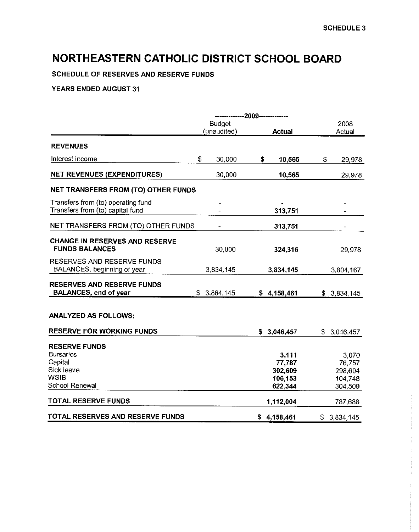SCHEDULE OF RESERVES AND RESERVE FUNDS

|                                                                        | ------------2009------------- |                    |                    |
|------------------------------------------------------------------------|-------------------------------|--------------------|--------------------|
|                                                                        | <b>Budget</b>                 |                    | 2008               |
|                                                                        | (unaudited)                   | <b>Actual</b>      | Actual             |
| <b>REVENUES</b>                                                        |                               |                    |                    |
| Interest income                                                        | \$<br>30,000                  | \$<br>10,565       | \$<br>29,978       |
| <b>NET REVENUES (EXPENDITURES)</b>                                     | 30,000                        | 10,565             | 29,978             |
| NET TRANSFERS FROM (TO) OTHER FUNDS                                    |                               |                    |                    |
| Transfers from (to) operating fund<br>Transfers from (to) capital fund |                               | 313,751            |                    |
| NET TRANSFERS FROM (TO) OTHER FUNDS                                    |                               | 313,751            |                    |
| <b>CHANGE IN RESERVES AND RESERVE</b><br><b>FUNDS BALANCES</b>         | 30,000                        | 324,316            | 29,978             |
| RESERVES AND RESERVE FUNDS<br>BALANCES, beginning of year              | 3,834,145                     | 3,834,145          | 3,804,167          |
| <b>RESERVES AND RESERVE FUNDS</b><br><b>BALANCES, end of year</b>      | \$3,864,145                   | \$4,158,461        | \$3,834,145        |
| <b>ANALYZED AS FOLLOWS:</b>                                            |                               |                    |                    |
| <b>RESERVE FOR WORKING FUNDS</b>                                       |                               | \$3,046,457        | \$3,046,457        |
| <b>RESERVE FUNDS</b><br><b>Bursaries</b>                               |                               | 3,111              | 3,070              |
| Capital                                                                |                               | 77,787             | 76,757             |
| Sick leave<br><b>WSIB</b>                                              |                               | 302,609            | 298,604            |
| School Renewal                                                         |                               | 106,153<br>622,344 | 104,748<br>304,509 |
| TOTAL RESERVE FUNDS                                                    |                               | 1,112,004          | 787,688            |
| TOTAL RESERVES AND RESERVE FUNDS                                       |                               | \$4,158,461        | \$3,834,145        |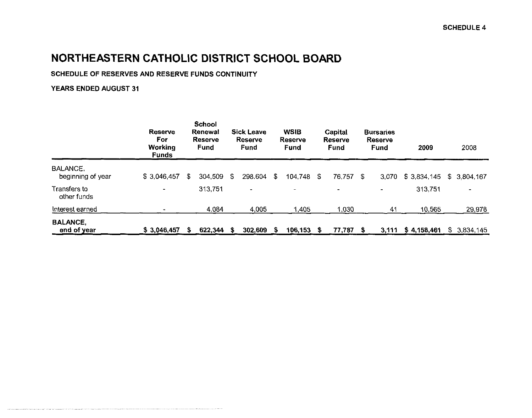### **SCHEDULE OF RESERVES AND RESERVE FUNDS CONTINUITY**

|                                | <b>Reserve</b><br>For<br>Working<br><b>Funds</b> |   | <b>School</b><br>Renewal<br><b>Reserve</b><br>Fund |     | <b>Sick Leave</b><br>Reserve<br>Fund |    | <b>WSIB</b><br>Reserve<br>Fund |     | Capital<br>Reserve<br>Fund |   | <b>Bursaries</b><br><b>Reserve</b><br><b>Fund</b> | 2009        |    | 2008        |
|--------------------------------|--------------------------------------------------|---|----------------------------------------------------|-----|--------------------------------------|----|--------------------------------|-----|----------------------------|---|---------------------------------------------------|-------------|----|-------------|
| BALANCE,<br>beginning of year  | \$3,046,457                                      | S | 304,509                                            | -SS | 298.604                              | \$ | 104,748                        | S   | 76,757                     | S | 3.070                                             | \$3,834,145 |    | \$3,804,167 |
| Transfers to<br>other funds    | $\blacksquare$                                   |   | 313,751                                            |     | $\blacksquare$                       |    | $\blacksquare$                 |     | ۰.                         |   | $\blacksquare$                                    | 313,751     |    |             |
| Interest earned                |                                                  |   | 4 0 8 4                                            |     | 4,005                                |    | 1,405                          |     | 1,030                      |   | 41                                                | 10,565      |    | 29,978      |
| <b>BALANCE,</b><br>end of year | \$3,046,457                                      |   | 622,344                                            | S   | 302,609                              | 5  | 106,153                        | - S | 77,787                     | S | 3,111                                             | \$4,158,461 | S. | 3,834,145   |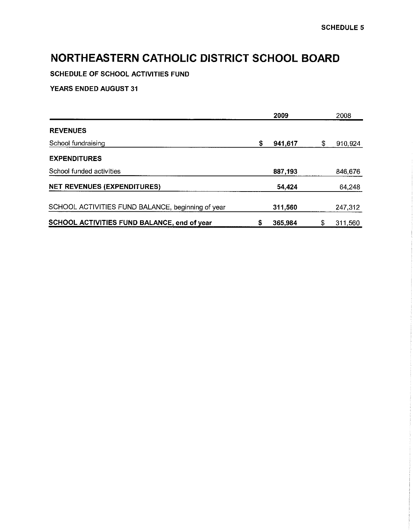SCHEDULE OF SCHOOL ACTIVITIES FUND

|                                                   | 2009          |   | 2008    |
|---------------------------------------------------|---------------|---|---------|
| <b>REVENUES</b>                                   |               |   |         |
| School fundraising                                | \$<br>941,617 | S | 910,924 |
| <b>EXPENDITURES</b>                               |               |   |         |
| School funded activities                          | 887,193       |   | 846,676 |
| <b>NET REVENUES (EXPENDITURES)</b>                | 54 424        |   | 64,248  |
| SCHOOL ACTIVITIES FUND BALANCE, beginning of year | 311,560       |   | 247,312 |
| SCHOOL ACTIVITIES FUND BALANCE, end of year       | \$<br>365,984 |   | 311,560 |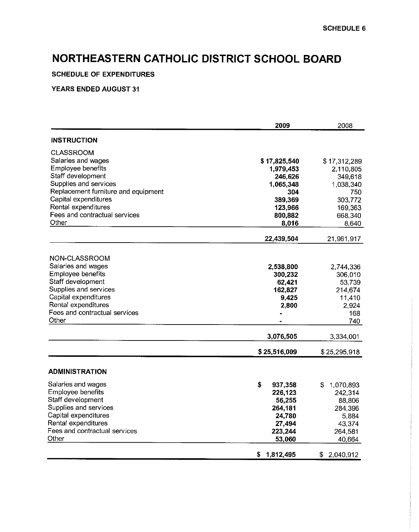#### **SCHEDULE OF EXPENDITURES**

|                                                | 2009              | 2008              |
|------------------------------------------------|-------------------|-------------------|
| <b>INSTRUCTION</b>                             |                   |                   |
| <b>CLASSROOM</b>                               |                   |                   |
| Salaries and wages                             | \$17,825,540      | \$17,312,289      |
| Employee benefits                              | 1,979,453         | 2,110,805         |
| Staff development                              | 246,626           | 349,618           |
| Supplies and services                          | 1.065,348         | 1,038,340         |
| Replacement furniture and equipment            | 304               | 750               |
| Capital expenditures                           | 389,369           | 303,772           |
| Rental expenditures                            | 123,966           | 169,363           |
| Fees and contractual services                  | 800,882           | 668,340           |
| Other                                          | 8,016             | 8,640             |
|                                                | 22,439,504        | 21,961,917        |
| NON-CLASSROOM                                  |                   |                   |
| Salaries and wages                             | 2,538,800         | 2,744,336         |
| Employee benefits                              | 300,232           | 306,010           |
| Staff development                              | 62,421            | 53,739            |
| Supplies and services                          | 162,827           | 214,674           |
| Capital expenditures                           | 9.425             | 11,410            |
| Rental expenditures                            | 2,800             | 2,924             |
| Fees and contractual services                  |                   | 168               |
| Other                                          |                   | 740               |
|                                                | 3,076,505         | 3,334,001         |
|                                                | \$25,516,009      | \$25,295,918      |
| <b>ADMINISTRATION</b>                          |                   |                   |
|                                                | \$                |                   |
| Salaries and wages<br><b>Employee benefits</b> | 937,358           | 1,070,893<br>S    |
| Staff development                              | 226,123<br>56,255 | 242,314<br>88,806 |
| Supplies and services                          | 264,181           | 284.396           |
| Capital expenditures                           | 24,780            | 5,884             |
| Rental expenditures                            | 27,494            | 43,374            |
| Fees and contractual services                  | 223,244           | 264,581           |
| Other                                          | 53,060            | 40,664            |
|                                                | \$1,812,495       | \$2,040,912       |
|                                                |                   |                   |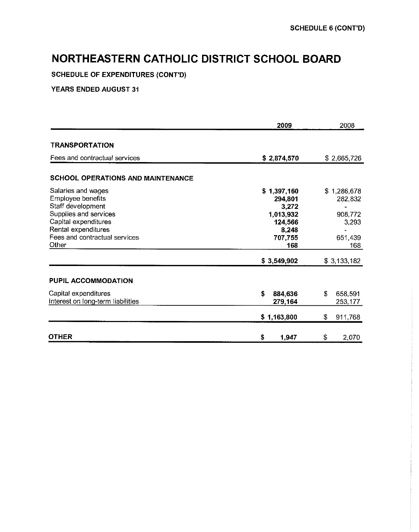**SCHEDULE** OF EXPENDITURES (CONT'D)

|                                                                                                                                                                                | 2009                                                                               | 2008                                                         |
|--------------------------------------------------------------------------------------------------------------------------------------------------------------------------------|------------------------------------------------------------------------------------|--------------------------------------------------------------|
| <b>TRANSPORTATION</b>                                                                                                                                                          |                                                                                    |                                                              |
| Fees and contractual services                                                                                                                                                  | \$2,874,570                                                                        | \$2,665,726                                                  |
| <b>SCHOOL OPERATIONS AND MAINTENANCE</b>                                                                                                                                       |                                                                                    |                                                              |
| Salaries and wages<br>Employee benefits<br>Staff development<br>Supplies and services<br>Capital expenditures<br>Rental expenditures<br>Fees and contractual services<br>Other | \$1,397,160<br>294,801<br>3,272<br>1,013,932<br>124,566<br>8,248<br>707,755<br>168 | \$1,286,678<br>282,832<br>908,772<br>3,293<br>651,439<br>168 |
|                                                                                                                                                                                | \$3,549,902                                                                        | \$3,133,182                                                  |
| PUPIL ACCOMMODATION                                                                                                                                                            |                                                                                    |                                                              |
| Capital expenditures<br>Interest on long-term liabilities                                                                                                                      | \$<br>884,636<br>279,164                                                           | \$<br>658,591<br>253,177                                     |
|                                                                                                                                                                                | \$1,163,800                                                                        | \$<br>911,768                                                |
| OTHER                                                                                                                                                                          | \$<br>1,947                                                                        | \$<br>2,070                                                  |